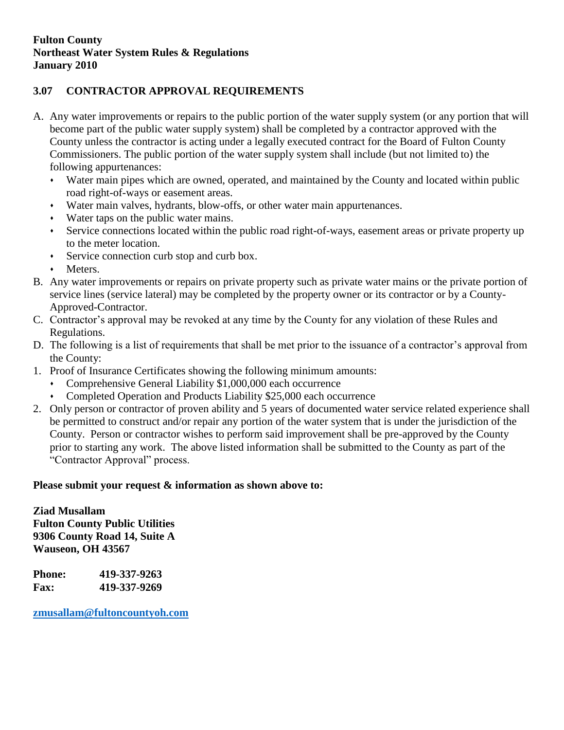## **3.07 CONTRACTOR APPROVAL REQUIREMENTS**

- A. Any water improvements or repairs to the public portion of the water supply system (or any portion that will become part of the public water supply system) shall be completed by a contractor approved with the County unless the contractor is acting under a legally executed contract for the Board of Fulton County Commissioners. The public portion of the water supply system shall include (but not limited to) the following appurtenances:
	- Water main pipes which are owned, operated, and maintained by the County and located within public road right-of-ways or easement areas.
	- Water main valves, hydrants, blow-offs, or other water main appurtenances.
	- Water taps on the public water mains.
	- Service connections located within the public road right-of-ways, easement areas or private property up to the meter location.
	- Service connection curb stop and curb box.
	- Meters.
- B. Any water improvements or repairs on private property such as private water mains or the private portion of service lines (service lateral) may be completed by the property owner or its contractor or by a County-Approved-Contractor.
- C. Contractor's approval may be revoked at any time by the County for any violation of these Rules and Regulations.
- D. The following is a list of requirements that shall be met prior to the issuance of a contractor's approval from the County:
- 1. Proof of Insurance Certificates showing the following minimum amounts:
	- Comprehensive General Liability \$1,000,000 each occurrence
	- Completed Operation and Products Liability \$25,000 each occurrence
- 2. Only person or contractor of proven ability and 5 years of documented water service related experience shall be permitted to construct and/or repair any portion of the water system that is under the jurisdiction of the County. Person or contractor wishes to perform said improvement shall be pre-approved by the County prior to starting any work. The above listed information shall be submitted to the County as part of the "Contractor Approval" process.

## **Please submit your request & information as shown above to:**

**Ziad Musallam Fulton County Public Utilities 9306 County Road 14, Suite A Wauseon, OH 43567**

**Phone: 419-337-9263 Fax: 419-337-9269**

**[zmusallam@fultoncountyoh.com](mailto:zmusallam@fultoncountyoh.com)**